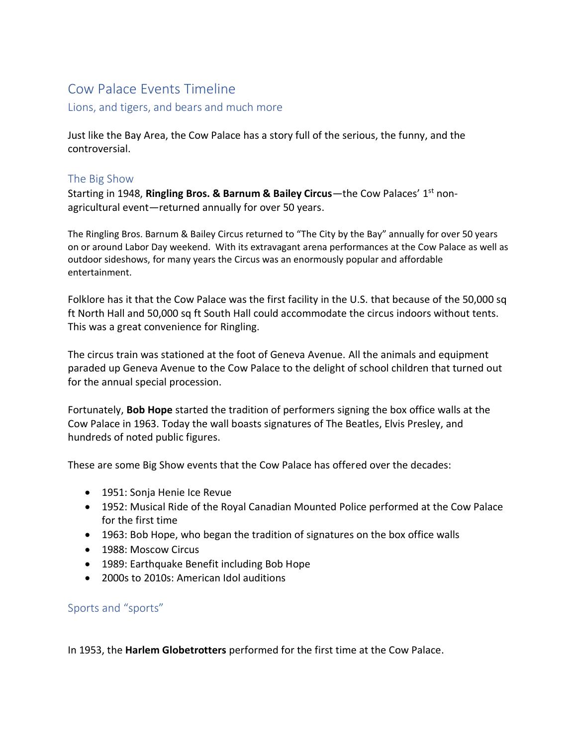# Cow Palace Events Timeline

Lions, and tigers, and bears and much more

Just like the Bay Area, the Cow Palace has a story full of the serious, the funny, and the controversial.

#### The Big Show

Starting in 1948, **Ringling Bros. & Barnum & Bailey Circus**—the Cow Palaces' 1<sup>st</sup> nonagricultural event—returned annually for over 50 years.

The Ringling Bros. Barnum & Bailey Circus returned to "The City by the Bay" annually for over 50 years on or around Labor Day weekend. With its extravagant arena performances at the Cow Palace as well as outdoor sideshows, for many years the Circus was an enormously popular and affordable entertainment.

Folklore has it that the Cow Palace was the first facility in the U.S. that because of the 50,000 sq ft North Hall and 50,000 sq ft South Hall could accommodate the circus indoors without tents. This was a great convenience for Ringling.

The circus train was stationed at the foot of Geneva Avenue. All the animals and equipment paraded up Geneva Avenue to the Cow Palace to the delight of school children that turned out for the annual special procession.

Fortunately, **Bob Hope** started the tradition of performers signing the box office walls at the Cow Palace in 1963. Today the wall boasts signatures of The Beatles, Elvis Presley, and hundreds of noted public figures.

These are some Big Show events that the Cow Palace has offered over the decades:

- 1951: Sonja Henie Ice Revue
- 1952: Musical Ride of the Royal Canadian Mounted Police performed at the Cow Palace for the first time
- 1963: Bob Hope, who began the tradition of signatures on the box office walls
- 1988: Moscow Circus
- 1989: Earthquake Benefit including Bob Hope
- 2000s to 2010s: American Idol auditions

#### Sports and "sports"

In 1953, the **Harlem Globetrotters** performed for the first time at the Cow Palace.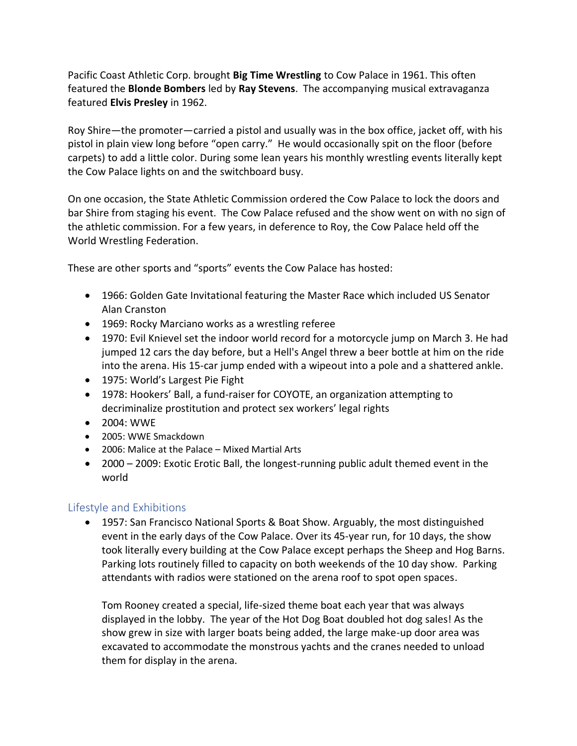Pacific Coast Athletic Corp. brought **Big Time Wrestling** to Cow Palace in 1961. This often featured the **Blonde Bombers** led by **Ray Stevens**. The accompanying musical extravaganza featured **Elvis Presley** in 1962.

Roy Shire—the promoter—carried a pistol and usually was in the box office, jacket off, with his pistol in plain view long before "open carry." He would occasionally spit on the floor (before carpets) to add a little color. During some lean years his monthly wrestling events literally kept the Cow Palace lights on and the switchboard busy.

On one occasion, the State Athletic Commission ordered the Cow Palace to lock the doors and bar Shire from staging his event. The Cow Palace refused and the show went on with no sign of the athletic commission. For a few years, in deference to Roy, the Cow Palace held off the World Wrestling Federation.

These are other sports and "sports" events the Cow Palace has hosted:

- 1966: Golden Gate Invitational featuring the Master Race which included US Senator Alan Cranston
- 1969: Rocky Marciano works as a wrestling referee
- 1970: Evil Knievel set the indoor world record for a motorcycle jump on March 3. He had jumped 12 cars the day before, but a Hell's Angel threw a beer bottle at him on the ride into the arena. His 15-car jump ended with a wipeout into a pole and a shattered ankle.
- 1975: World's Largest Pie Fight
- 1978: Hookers' Ball, a fund-raiser for COYOTE, an organization attempting to decriminalize prostitution and protect sex workers' legal rights
- 2004: WWE
- 2005: WWE Smackdown
- 2006: Malice at the Palace Mixed Martial Arts
- 2000 2009: Exotic Erotic Ball, the longest-running public adult themed event in the world

## Lifestyle and Exhibitions

• 1957: San Francisco National Sports & Boat Show. Arguably, the most distinguished event in the early days of the Cow Palace. Over its 45-year run, for 10 days, the show took literally every building at the Cow Palace except perhaps the Sheep and Hog Barns. Parking lots routinely filled to capacity on both weekends of the 10 day show. Parking attendants with radios were stationed on the arena roof to spot open spaces.

Tom Rooney created a special, life-sized theme boat each year that was always displayed in the lobby. The year of the Hot Dog Boat doubled hot dog sales! As the show grew in size with larger boats being added, the large make-up door area was excavated to accommodate the monstrous yachts and the cranes needed to unload them for display in the arena.